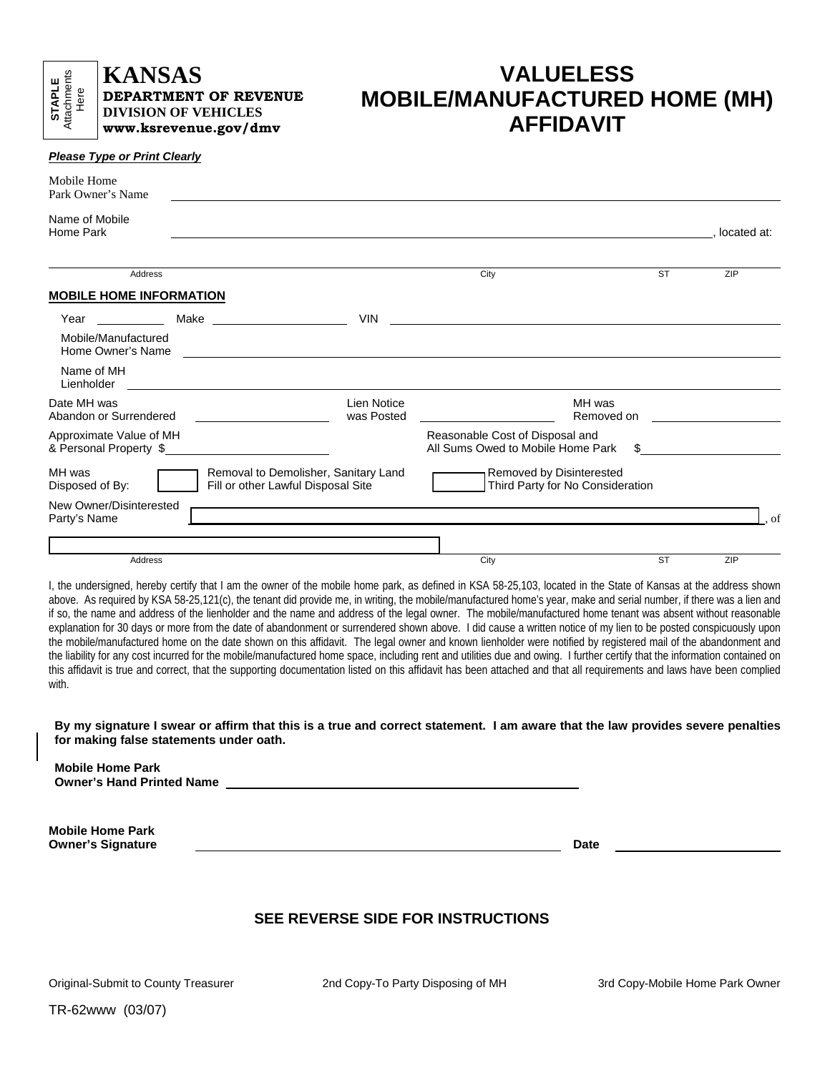$www.ksrevenue.gov/dmv$  $www.ksrevenue.gov/dmv$ 

## **KANSAS VALUELESS DEPARTMENT OF REVENUE**<br>DIVISION OF VEHICLES<br>WWW. AFFIDAVIT

| <b>Please Type or Print Clearly</b> |  |
|-------------------------------------|--|
|-------------------------------------|--|

| Mobile Home<br>Park Owner's Name                                                                        |  |                                                                                                                                                                                                                               |                                                                                                                         |           |             |
|---------------------------------------------------------------------------------------------------------|--|-------------------------------------------------------------------------------------------------------------------------------------------------------------------------------------------------------------------------------|-------------------------------------------------------------------------------------------------------------------------|-----------|-------------|
| Name of Mobile<br>Home Park                                                                             |  |                                                                                                                                                                                                                               |                                                                                                                         |           | located at: |
| Address                                                                                                 |  |                                                                                                                                                                                                                               | City                                                                                                                    | <b>ST</b> | <b>ZIP</b>  |
| <b>MOBILE HOME INFORMATION</b>                                                                          |  |                                                                                                                                                                                                                               |                                                                                                                         |           |             |
| Year                                                                                                    |  | <b>VIN</b>                                                                                                                                                                                                                    |                                                                                                                         |           |             |
| Mobile/Manufactured<br>Home Owner's Name                                                                |  |                                                                                                                                                                                                                               | <u> 1989 - John Stoff, deutscher Stoff, der Stoff, der Stoff, der Stoff, der Stoff, der Stoff, der Stoff, der Stoff</u> |           |             |
| Name of MH<br>Lienholder                                                                                |  |                                                                                                                                                                                                                               |                                                                                                                         |           |             |
| Date MH was<br>Abandon or Surrendered                                                                   |  | Lien Notice<br>was Posted                                                                                                                                                                                                     | MH was<br>Removed on                                                                                                    |           |             |
| Approximate Value of MH<br>& Personal Property \$                                                       |  |                                                                                                                                                                                                                               | Reasonable Cost of Disposal and<br>All Sums Owed to Mobile Home Park                                                    | S.        |             |
| MH was<br>Removal to Demolisher, Sanitary Land<br>Fill or other Lawful Disposal Site<br>Disposed of By: |  | Removed by Disinterested<br>Third Party for No Consideration                                                                                                                                                                  |                                                                                                                         |           |             |
| New Owner/Disinterested<br>Party's Name                                                                 |  | the control of the control of the control of the control of the control of the control of the control of the control of the control of the control of the control of the control of the control of the control of the control |                                                                                                                         |           | of          |
|                                                                                                         |  |                                                                                                                                                                                                                               |                                                                                                                         |           |             |
| Address                                                                                                 |  |                                                                                                                                                                                                                               | City                                                                                                                    | <b>ST</b> | ZIP         |

I, the undersigned, hereby certify that I am the owner of the mobile home park, as defined in KSA 58-25,103, located in the State of Kansas at the address shown above. As required by KSA 58-25,121(c), the tenant did provide me, in writing, the mobile/manufactured home's year, make and serial number, if there was a lien and if so, the name and address of the lienholder and the name and address of the legal owner. The mobile/manufactured home tenant was absent without reasonable explanation for 30 days or more from the date of abandonment or surrendered shown above. I did cause a written notice of my lien to be posted conspicuously upon the mobile/manufactured home on the date shown on this affidavit. The legal owner and known lienholder were notified by registered mail of the abandonment and the liability for any cost incurred for the mobile/manufactured home space, including rent and utilities due and owing. I further certify that the information contained on this affidavit is true and correct, that the supporting documentation listed on this affidavit has been attached and that all requirements and laws have been complied with.

 **By my signature I swear or affirm that this is a true and correct statement. I am aware that the law provides severe penalties for making false statements under oath.** 

 **Owner's Hand Printed Name Mobile Home Park Mobile Home Park** 

Owner's Signature **Date and Contact Contact Contact Contact Contact Contact Contact Contact Contact Contact Contact Contact Contact Contact Contact Contact Contact Contact Contact Contact Contact Contact Contact Contact Co** 

## **SEE REVERSE SIDE FOR INSTRUCTIONS**